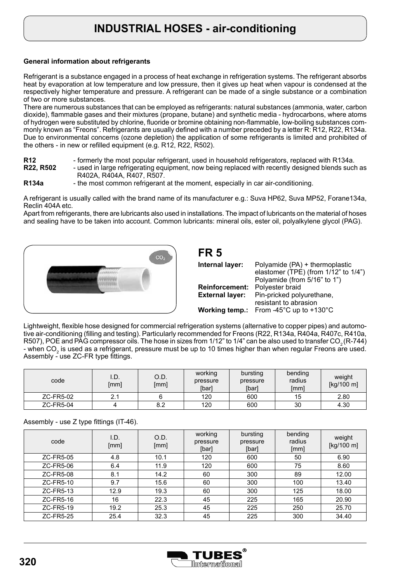## **INDUSTRIAL HOSES - air-conditioning**

### **General information about refrigerants**

Refrigerant is a substance engaged in a process of heat exchange in refrigeration systems. The refrigerant absorbs heat by evaporation at low temperature and low pressure, then it gives up heat when vapour is condensed at the respectively higher temperature and pressure. A refrigerant can be made of a single substance or a combination of two or more substances.

There are numerous substances that can be employed as refrigerants: natural substances (ammonia, water, carbon dioxide), flammable gases and their mixtures (propane, butane) and synthetic media - hydrocarbons, where atoms of hydrogen were substituted by chlorine, fluoride or bromine obtaining non-flammable, low-boiling substances commonly known as "Freons". Refrigerants are usually defined with a number preceded by a letter R: R12, R22, R134a. Due to environmental concerns (ozone depletion) the application of some refrigerants is limited and prohibited of the others - in new or refilled equipment (e.g. R12, R22, R502).

- **R12** formerly the most popular refrigerant, used in household refrigerators, replaced with R134a.<br>**R22, R502** used in large refrigerating equipment, now being replaced with recently designed blends such
- **R22, R502** used in large refrigerating equipment, now being replaced with recently designed blends such as R402A, R404A, R407, R507.
- **R134a** the most common refrigerant at the moment, especially in car air-conditioning.

A refrigerant is usually called with the brand name of its manufacturer e.g.: Suva HP62, Suva MP52, Forane134a, Reclin 404A etc.

Apart from refrigerants, there are lubricants also used in installations. The impact of lubricants on the material of hoses and sealing have to be taken into account. Common lubricants: mineral oils, ester oil, polyalkylene glycol (PAG).

**FR 5**



| .                      |                                                                                                              |
|------------------------|--------------------------------------------------------------------------------------------------------------|
| Internal layer:        | Polyamide (PA) + thermoplastic<br>elastomer (TPE) (from $1/12$ " to $1/4$ ")<br>Polyamide (from 5/16" to 1") |
| <b>Reinforcement:</b>  | Polyester braid                                                                                              |
| <b>External layer:</b> | Pin-pricked polyurethane,<br>resistant to abrasion                                                           |
|                        | <b>Working temp.:</b> From -45 $^{\circ}$ C up to +130 $^{\circ}$ C                                          |

Lightweight, flexible hose designed for commercial refrigeration systems (alternative to copper pipes) and automotive air-conditioning (filling and testing). Particularly recommended for Freons (R22, R134a, R404a, R407c, R410a, R507), POE and PAG compressor oils. The hose in sizes from  $1/12$ " to  $1/4$ " can be also used to transfer CO<sub>2</sub> (R-744) - when  $CO_2$  is used as a refrigerant, pressure must be up to 10 times higher than when regular Freons are used. Assembly - use ZC-FR type fittings.

| code      | I.D.<br>[mm] | O.D.<br>[mm] | working<br>pressure<br>[bar] | bursting<br>pressure<br>[bar] | bending<br>radius<br>[mm] | weight<br>[kg/100 m] |
|-----------|--------------|--------------|------------------------------|-------------------------------|---------------------------|----------------------|
| ZC-FR5-02 |              |              | 120                          | 600                           | 15                        | 2.80                 |
| ZC-FR5-04 |              | 8.2          | 120                          | 600                           | 30                        | 4.30                 |

#### Assembly - use Z type fittings (IT-46).

| code      | I.D.<br>[mm] | O.D.<br>[mm] | working<br>pressure<br>[bar] | bursting<br>pressure<br>[bar] | bending<br>radius<br>[mm] | weight<br>[kg/100 m] |
|-----------|--------------|--------------|------------------------------|-------------------------------|---------------------------|----------------------|
| ZC-FR5-05 | 4.8          | 10.1         | 120                          | 600                           | 50                        | 6.90                 |
| ZC-FR5-06 | 6.4          | 11.9         | 120                          | 600                           | 75                        | 8.60                 |
| ZC-FR5-08 | 8.1          | 14.2         | 60                           | 300                           | 89                        | 12.00                |
| ZC-FR5-10 | 9.7          | 15.6         | 60                           | 300                           | 100                       | 13.40                |
| ZC-FR5-13 | 12.9         | 19.3         | 60                           | 300                           | 125                       | 18.00                |
| ZC-FR5-16 | 16           | 22.3         | 45                           | 225                           | 165                       | 20.90                |
| ZC-FR5-19 | 19.2         | 25.3         | 45                           | 225                           | 250                       | 25.70                |
| ZC-FR5-25 | 25.4         | 32.3         | 45                           | 225                           | 300                       | 34.40                |

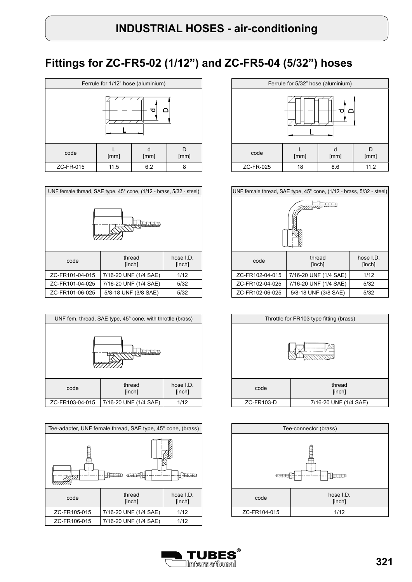# **Fittings for ZC-FR5-02 (1/12") and ZC-FR5-04 (5/32") hoses**

| Ferrule for 1/12" hose (aluminium) |      |           |           |  |  |
|------------------------------------|------|-----------|-----------|--|--|
|                                    |      |           |           |  |  |
| code                               | [mm] | d<br>[mm] | D<br>[mm] |  |  |
| ZC-FR-015                          | 11.5 | 6.2       | 8         |  |  |

| UNF female thread, SAE type, 45° cone, (1/12 - brass, 5/32 - steel) |                       |                      |  |  |  |
|---------------------------------------------------------------------|-----------------------|----------------------|--|--|--|
|                                                                     |                       |                      |  |  |  |
| code                                                                | thread<br>[inch]      | hose $LD.$<br>[inch] |  |  |  |
| ZC-FR101-04-015                                                     | 7/16-20 UNF (1/4 SAE) | 1/12                 |  |  |  |
| ZC-FR101-04-025                                                     | 7/16-20 UNF (1/4 SAE) | 5/32                 |  |  |  |
| ZC-FR101-06-025                                                     | 5/8-18 UNF (3/8 SAE)  | 5/32                 |  |  |  |







|                 | UNF female thread, SAE type, $45^{\circ}$ cone, $(1/12 - \text{brass}, 5/32 - \text{steel})$ |                      |  |  |  |  |
|-----------------|----------------------------------------------------------------------------------------------|----------------------|--|--|--|--|
|                 |                                                                                              |                      |  |  |  |  |
| code            | thread<br>[inch]                                                                             | hose $LD.$<br>[inch] |  |  |  |  |
| ZC-FR102-04-015 | 7/16-20 UNF (1/4 SAE)                                                                        | 1/12                 |  |  |  |  |
| ZC-FR102-04-025 | 7/16-20 UNF (1/4 SAE)                                                                        | 5/32                 |  |  |  |  |
| ZC-FR102-06-025 | 5/8-18 UNF (3/8 SAE)                                                                         | 5/32                 |  |  |  |  |





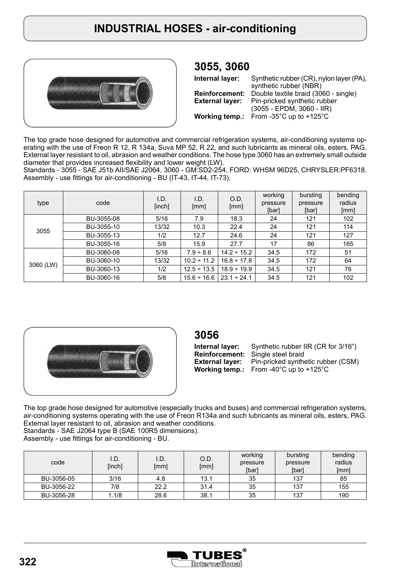

## **3055, 3060**

**Internal layer: Reinforcement: External layer: Working temp.:** Synthetic rubber (CR), nylon layer (PA), synthetic rubber (NBR) Double textile braid (3060 - single) Pin-pricked synthetic rubber (3055 - EPDM, 3060 - IIR) From -35°C up to +125°C

The top grade hose designed for automotive and commercial refrigeration systems, air-conditioning systems operating with the use of Freon R 12, R 134a, Suva MP 52, R 22, and such lubricants as mineral oils, esters, PAG. External layer resistant to oil, abrasion and weather conditions. The hose type 3060 has an extremely small outside diameter that provides increased flexibility and lower weight (LW).

Standards - 3055 - SAE J51b AII/SAE J2064, 3060 - GM:SD2-254, FORD: WHSM 96D25, CHRYSLER:PF6318. Assembly - use fittings for air-conditioning - BU (IT-43, IT-44, IT-73).

| type      | code       | I.D.<br>[inch] | I.D.<br>[mm]     | O.D.<br>[mm]     | working<br>pressure<br>[bar] | bursting<br>pressure<br>[bar] | bending<br>radius<br>[mm] |
|-----------|------------|----------------|------------------|------------------|------------------------------|-------------------------------|---------------------------|
|           | BU-3055-08 | 5/16           | 7.9              | 18.3             | 24                           | 121                           | 102                       |
| 3055      | BU-3055-10 | 13/32          | 10.3             | 22.4             | 24                           | 121                           | 114                       |
|           | BU-3055-13 | 1/2            | 12.7             | 24.6             | 24                           | 121                           | 127                       |
|           | BU-3055-16 | 5/8            | 15.9             | 27.7             | 17                           | 86                            | 165                       |
|           | BU-3060-08 | 5/16           | $7.9 - 8.6$      | $14.2 \div 15.2$ | 34.5                         | 172                           | 51                        |
| 3060 (LW) | BU-3060-10 | 13/32          | $10.2 \div 11.2$ | $16.8 \div 17.8$ | 34.5                         | 172                           | 64                        |
|           | BU-3060-13 | 1/2            | $12.5 \div 13.5$ | $18.9 \div 19.9$ | 34.5                         | 121                           | 76                        |
|           | BU-3060-16 | 5/8            | $15.6 \div 16.6$ | $23.1 \div 24.1$ | 34.5                         | 121                           | 102                       |



### **3056**

**Internal layer: Reinforcement: External layer: Working temp.:** From -40°C up to +125°C Synthetic rubber IIR (CR for 3/16") Single steel braid Pin-pricked synthetic rubber (CSM)

The top grade hose designed for automotive (especially trucks and buses) and commercial refrigeration systems, air-conditioning systems operating with the use of Freon R134a and such lubricants as mineral oils, esters, PAG. External layer resistant to oil, abrasion and weather conditions. Standards - SAE J2064 type B (SAE 100R5 dimensions).

Assembly - use fittings for air-conditioning - BU.

| code       | I.D.<br>[inch] | I.D.<br>[mm] | O.D.<br>[mm] | working<br>pressure<br>[bar] | bursting<br>pressure<br>[bar] | bending<br>radius<br>[mm] |
|------------|----------------|--------------|--------------|------------------------------|-------------------------------|---------------------------|
| BU-3056-05 | 3/16           | 4.8          | 13.1         | 35                           | 137                           | 85                        |
| BU-3056-22 | 7/8            | 22.2         | 31.4         | 35                           | 137                           | 155                       |
| BU-3056-28 | 1.1/8          | 28.6         | 38.1         | 35                           | 137                           | 190                       |